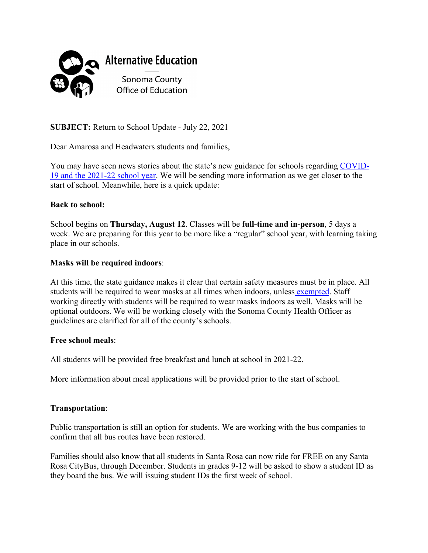

**SUBJECT:** Return to School Update - July 22, 2021

Dear Amarosa and Headwaters students and families,

You may have seen news stories about the state's new guidance for schools regarding [COVID-](https://www.cdph.ca.gov/Programs/CID/DCDC/Pages/COVID-19/K-12-Guidance-2021-22-School-Year.aspx)[19 and the 2021-22 school year.](https://www.cdph.ca.gov/Programs/CID/DCDC/Pages/COVID-19/K-12-Guidance-2021-22-School-Year.aspx) We will be sending more information as we get closer to the start of school. Meanwhile, here is a quick update:

## **Back to school:**

School begins on **Thursday, August 12**. Classes will be **full-time and in-person**, 5 days a week. We are preparing for this year to be more like a "regular" school year, with learning taking place in our schools.

## **Masks will be required indoors**:

At this time, the state guidance makes it clear that certain safety measures must be in place. All students will be required to wear masks at all times when indoors, unles[s exempted.](https://www.cdph.ca.gov/Programs/CID/DCDC/Pages/COVID-19/guidance-for-face-coverings.aspx) Staff working directly with students will be required to wear masks indoors as well. Masks will be optional outdoors. We will be working closely with the Sonoma County Health Officer as guidelines are clarified for all of the county's schools.

## **Free school meals**:

All students will be provided free breakfast and lunch at school in 2021-22.

More information about meal applications will be provided prior to the start of school.

## **Transportation**:

Public transportation is still an option for students. We are working with the bus companies to confirm that all bus routes have been restored.

 Rosa CityBus, through December. Students in grades 9-12 will be asked to show a student ID as Families should also know that all students in Santa Rosa can now ride for FREE on any Santa they board the bus. We will issuing student IDs the first week of school.